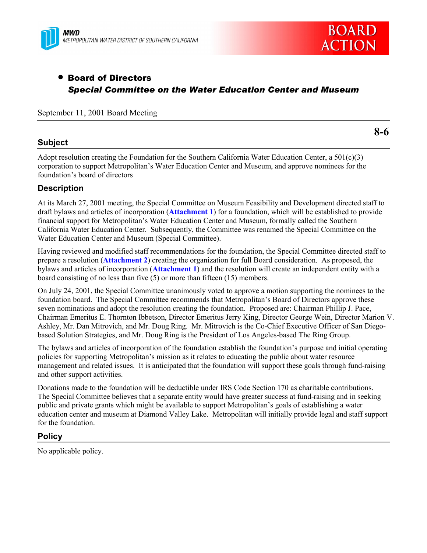



# • Board of Directors *Special Committee on the Water Education Center and Museum*

September 11, 2001 Board Meeting

## **Subject**

**8-6**

Adopt resolution creating the Foundation for the Southern California Water Education Center, a 501(c)(3) corporation to support Metropolitanís Water Education Center and Museum, and approve nominees for the foundation's board of directors

# **Description**

At its March 27, 2001 meeting, the Special Committee on Museum Feasibility and Development directed staff to draft bylaws and articles of incorporation (**Attachment 1**) for a foundation, which will be established to provide financial support for Metropolitanís Water Education Center and Museum, formally called the Southern California Water Education Center. Subsequently, the Committee was renamed the Special Committee on the Water Education Center and Museum (Special Committee).

Having reviewed and modified staff recommendations for the foundation, the Special Committee directed staff to prepare a resolution (**Attachment 2**) creating the organization for full Board consideration. As proposed, the bylaws and articles of incorporation (**Attachment 1**) and the resolution will create an independent entity with a board consisting of no less than five (5) or more than fifteen (15) members.

On July 24, 2001, the Special Committee unanimously voted to approve a motion supporting the nominees to the foundation board. The Special Committee recommends that Metropolitan's Board of Directors approve these seven nominations and adopt the resolution creating the foundation. Proposed are: Chairman Phillip J. Pace, Chairman Emeritus E. Thornton Ibbetson, Director Emeritus Jerry King, Director George Wein, Director Marion V. Ashley, Mr. Dan Mitrovich, and Mr. Doug Ring. Mr. Mitrovich is the Co-Chief Executive Officer of San Diegobased Solution Strategies, and Mr. Doug Ring is the President of Los Angeles-based The Ring Group.

The bylaws and articles of incorporation of the foundation establish the foundation's purpose and initial operating policies for supporting Metropolitan's mission as it relates to educating the public about water resource management and related issues. It is anticipated that the foundation will support these goals through fund-raising and other support activities.

Donations made to the foundation will be deductible under IRS Code Section 170 as charitable contributions. The Special Committee believes that a separate entity would have greater success at fund-raising and in seeking public and private grants which might be available to support Metropolitan's goals of establishing a water education center and museum at Diamond Valley Lake. Metropolitan will initially provide legal and staff support for the foundation.

# **Policy**

No applicable policy.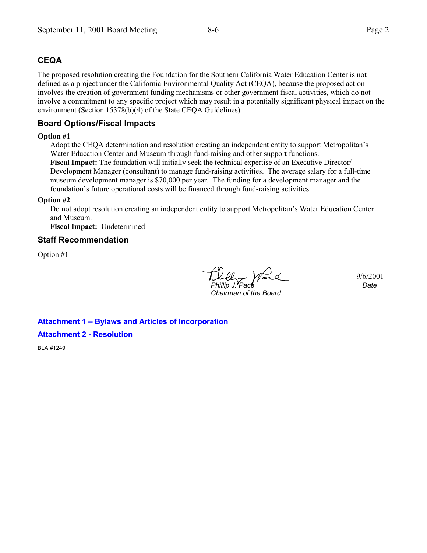# **CEQA**

The proposed resolution creating the Foundation for the Southern California Water Education Center is not defined as a project under the California Environmental Quality Act (CEQA), because the proposed action involves the creation of government funding mechanisms or other government fiscal activities, which do not involve a commitment to any specific project which may result in a potentially significant physical impact on the environment (Section 15378(b)(4) of the State CEQA Guidelines).

# **Board Options/Fiscal Impacts**

#### **Option #1**

Adopt the CEQA determination and resolution creating an independent entity to support Metropolitanís Water Education Center and Museum through fund-raising and other support functions. **Fiscal Impact:** The foundation will initially seek the technical expertise of an Executive Director/ Development Manager (consultant) to manage fund-raising activities. The average salary for a full-time museum development manager is \$70,000 per year. The funding for a development manager and the foundation's future operational costs will be financed through fund-raising activities.

#### **Option #2**

Do not adopt resolution creating an independent entity to support Metropolitan's Water Education Center and Museum.

**Fiscal Impact:** Undetermined

# **Staff Recommendation**

Option #1

*Phillip J. Pace*

*Chairman of the Board*

9/6/2001 *Date*

**Attachment 1 - Bylaws and Articles of Incorporation Attachment 2 - Resolution**

BLA #1249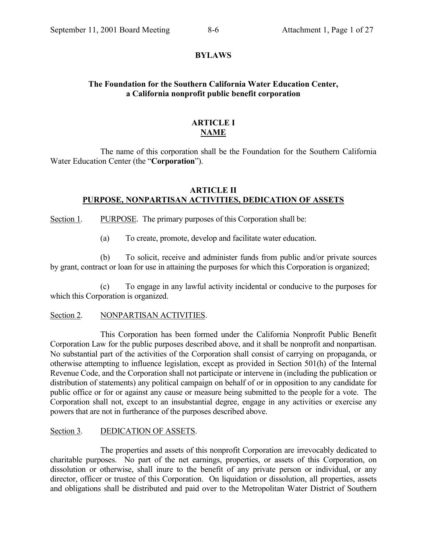#### **BYLAWS**

# **The Foundation for the Southern California Water Education Center, a California nonprofit public benefit corporation**

# **ARTICLE I NAME**

The name of this corporation shall be the Foundation for the Southern California Water Education Center (the "Corporation").

## **ARTICLE II PURPOSE, NONPARTISAN ACTIVITIES, DEDICATION OF ASSETS**

Section 1. PURPOSE. The primary purposes of this Corporation shall be:

(a) To create, promote, develop and facilitate water education.

(b) To solicit, receive and administer funds from public and/or private sources by grant, contract or loan for use in attaining the purposes for which this Corporation is organized;

(c) To engage in any lawful activity incidental or conducive to the purposes for which this Corporation is organized.

## Section 2. NONPARTISAN ACTIVITIES.

This Corporation has been formed under the California Nonprofit Public Benefit Corporation Law for the public purposes described above, and it shall be nonprofit and nonpartisan. No substantial part of the activities of the Corporation shall consist of carrying on propaganda, or otherwise attempting to influence legislation, except as provided in Section 501(h) of the Internal Revenue Code, and the Corporation shall not participate or intervene in (including the publication or distribution of statements) any political campaign on behalf of or in opposition to any candidate for public office or for or against any cause or measure being submitted to the people for a vote. The Corporation shall not, except to an insubstantial degree, engage in any activities or exercise any powers that are not in furtherance of the purposes described above.

## Section 3. DEDICATION OF ASSETS.

The properties and assets of this nonprofit Corporation are irrevocably dedicated to charitable purposes. No part of the net earnings, properties, or assets of this Corporation, on dissolution or otherwise, shall inure to the benefit of any private person or individual, or any director, officer or trustee of this Corporation. On liquidation or dissolution, all properties, assets and obligations shall be distributed and paid over to the Metropolitan Water District of Southern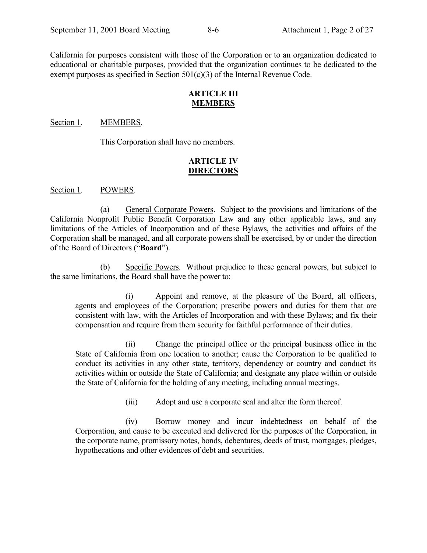California for purposes consistent with those of the Corporation or to an organization dedicated to educational or charitable purposes, provided that the organization continues to be dedicated to the exempt purposes as specified in Section 501(c)(3) of the Internal Revenue Code.

## **ARTICLE III MEMBERS**

#### Section 1. MEMBERS.

This Corporation shall have no members.

# **ARTICLE IV DIRECTORS**

Section 1. POWERS.

(a) General Corporate Powers. Subject to the provisions and limitations of the California Nonprofit Public Benefit Corporation Law and any other applicable laws, and any limitations of the Articles of Incorporation and of these Bylaws, the activities and affairs of the Corporation shall be managed, and all corporate powers shall be exercised, by or under the direction of the Board of Directors ("**Board**").

(b) Specific Powers. Without prejudice to these general powers, but subject to the same limitations, the Board shall have the power to:

(i) Appoint and remove, at the pleasure of the Board, all officers, agents and employees of the Corporation; prescribe powers and duties for them that are consistent with law, with the Articles of Incorporation and with these Bylaws; and fix their compensation and require from them security for faithful performance of their duties.

(ii) Change the principal office or the principal business office in the State of California from one location to another; cause the Corporation to be qualified to conduct its activities in any other state, territory, dependency or country and conduct its activities within or outside the State of California; and designate any place within or outside the State of California for the holding of any meeting, including annual meetings.

(iii) Adopt and use a corporate seal and alter the form thereof.

(iv) Borrow money and incur indebtedness on behalf of the Corporation, and cause to be executed and delivered for the purposes of the Corporation, in the corporate name, promissory notes, bonds, debentures, deeds of trust, mortgages, pledges, hypothecations and other evidences of debt and securities.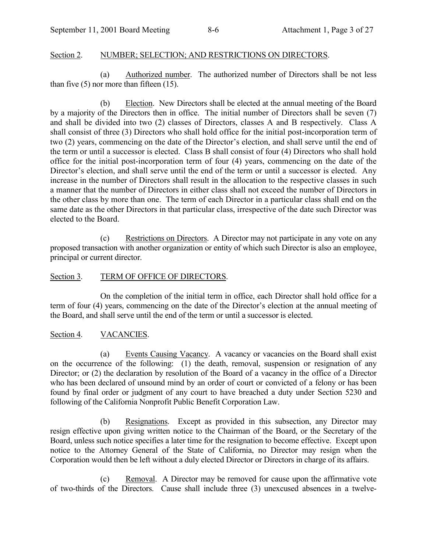# Section 2. NUMBER; SELECTION; AND RESTRICTIONS ON DIRECTORS.

(a) Authorized number. The authorized number of Directors shall be not less than five  $(5)$  nor more than fifteen  $(15)$ .

(b) Election. New Directors shall be elected at the annual meeting of the Board by a majority of the Directors then in office. The initial number of Directors shall be seven (7) and shall be divided into two (2) classes of Directors, classes A and B respectively. Class A shall consist of three (3) Directors who shall hold office for the initial post-incorporation term of two (2) years, commencing on the date of the Director's election, and shall serve until the end of the term or until a successor is elected. Class B shall consist of four (4) Directors who shall hold office for the initial post-incorporation term of four (4) years, commencing on the date of the Director's election, and shall serve until the end of the term or until a successor is elected. Any increase in the number of Directors shall result in the allocation to the respective classes in such a manner that the number of Directors in either class shall not exceed the number of Directors in the other class by more than one. The term of each Director in a particular class shall end on the same date as the other Directors in that particular class, irrespective of the date such Director was elected to the Board.

(c) Restrictions on Directors. A Director may not participate in any vote on any proposed transaction with another organization or entity of which such Director is also an employee, principal or current director.

# Section 3. TERM OF OFFICE OF DIRECTORS.

On the completion of the initial term in office, each Director shall hold office for a term of four (4) years, commencing on the date of the Director's election at the annual meeting of the Board, and shall serve until the end of the term or until a successor is elected.

# Section 4. VACANCIES.

(a) Events Causing Vacancy. A vacancy or vacancies on the Board shall exist on the occurrence of the following: (1) the death, removal, suspension or resignation of any Director; or (2) the declaration by resolution of the Board of a vacancy in the office of a Director who has been declared of unsound mind by an order of court or convicted of a felony or has been found by final order or judgment of any court to have breached a duty under Section 5230 and following of the California Nonprofit Public Benefit Corporation Law.

(b) Resignations. Except as provided in this subsection, any Director may resign effective upon giving written notice to the Chairman of the Board, or the Secretary of the Board, unless such notice specifies a later time for the resignation to become effective. Except upon notice to the Attorney General of the State of California, no Director may resign when the Corporation would then be left without a duly elected Director or Directors in charge of its affairs.

(c) Removal. A Director may be removed for cause upon the affirmative vote of two-thirds of the Directors. Cause shall include three (3) unexcused absences in a twelve-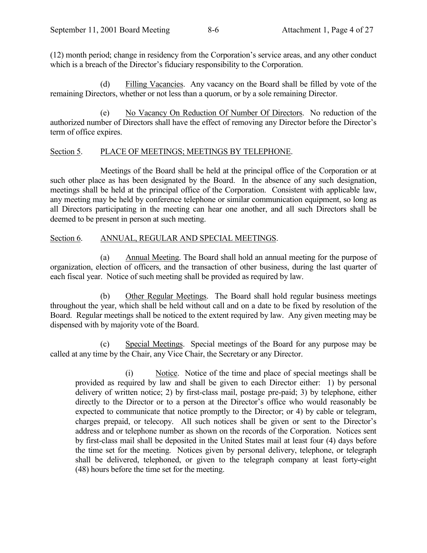(12) month period; change in residency from the Corporationís service areas, and any other conduct which is a breach of the Director's fiduciary responsibility to the Corporation.

(d) Filling Vacancies. Any vacancy on the Board shall be filled by vote of the remaining Directors, whether or not less than a quorum, or by a sole remaining Director.

(e) No Vacancy On Reduction Of Number Of Directors. No reduction of the authorized number of Directors shall have the effect of removing any Director before the Director's term of office expires.

## Section 5. PLACE OF MEETINGS; MEETINGS BY TELEPHONE.

Meetings of the Board shall be held at the principal office of the Corporation or at such other place as has been designated by the Board. In the absence of any such designation, meetings shall be held at the principal office of the Corporation. Consistent with applicable law, any meeting may be held by conference telephone or similar communication equipment, so long as all Directors participating in the meeting can hear one another, and all such Directors shall be deemed to be present in person at such meeting.

## Section 6. ANNUAL, REGULAR AND SPECIAL MEETINGS.

(a) Annual Meeting. The Board shall hold an annual meeting for the purpose of organization, election of officers, and the transaction of other business, during the last quarter of each fiscal year. Notice of such meeting shall be provided as required by law.

(b) Other Regular Meetings. The Board shall hold regular business meetings throughout the year, which shall be held without call and on a date to be fixed by resolution of the Board. Regular meetings shall be noticed to the extent required by law. Any given meeting may be dispensed with by majority vote of the Board.

(c) Special Meetings. Special meetings of the Board for any purpose may be called at any time by the Chair, any Vice Chair, the Secretary or any Director.

(i) Notice. Notice of the time and place of special meetings shall be provided as required by law and shall be given to each Director either: 1) by personal delivery of written notice; 2) by first-class mail, postage pre-paid; 3) by telephone, either directly to the Director or to a person at the Director's office who would reasonably be expected to communicate that notice promptly to the Director; or 4) by cable or telegram, charges prepaid, or telecopy. All such notices shall be given or sent to the Director's address and or telephone number as shown on the records of the Corporation. Notices sent by first-class mail shall be deposited in the United States mail at least four (4) days before the time set for the meeting. Notices given by personal delivery, telephone, or telegraph shall be delivered, telephoned, or given to the telegraph company at least forty-eight (48) hours before the time set for the meeting.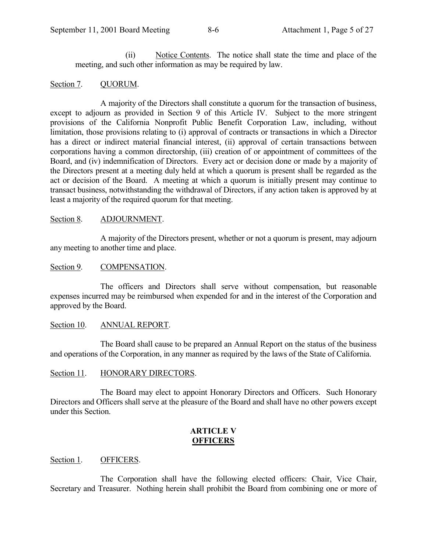(ii) Notice Contents. The notice shall state the time and place of the meeting, and such other information as may be required by law.

## Section 7. QUORUM.

A majority of the Directors shall constitute a quorum for the transaction of business, except to adjourn as provided in Section 9 of this Article IV. Subject to the more stringent provisions of the California Nonprofit Public Benefit Corporation Law, including, without limitation, those provisions relating to (i) approval of contracts or transactions in which a Director has a direct or indirect material financial interest, (ii) approval of certain transactions between corporations having a common directorship, (iii) creation of or appointment of committees of the Board, and (iv) indemnification of Directors. Every act or decision done or made by a majority of the Directors present at a meeting duly held at which a quorum is present shall be regarded as the act or decision of the Board. A meeting at which a quorum is initially present may continue to transact business, notwithstanding the withdrawal of Directors, if any action taken is approved by at least a majority of the required quorum for that meeting.

## Section 8. ADJOURNMENT.

A majority of the Directors present, whether or not a quorum is present, may adjourn any meeting to another time and place.

## Section 9. COMPENSATION.

The officers and Directors shall serve without compensation, but reasonable expenses incurred may be reimbursed when expended for and in the interest of the Corporation and approved by the Board.

## Section 10. ANNUAL REPORT.

The Board shall cause to be prepared an Annual Report on the status of the business and operations of the Corporation, in any manner as required by the laws of the State of California.

## Section 11. HONORARY DIRECTORS.

The Board may elect to appoint Honorary Directors and Officers. Such Honorary Directors and Officers shall serve at the pleasure of the Board and shall have no other powers except under this Section.

# **ARTICLE V OFFICERS**

## Section 1. OFFICERS.

The Corporation shall have the following elected officers: Chair, Vice Chair, Secretary and Treasurer. Nothing herein shall prohibit the Board from combining one or more of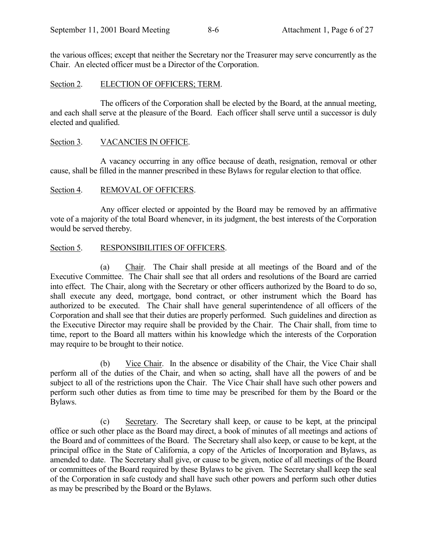the various offices; except that neither the Secretary nor the Treasurer may serve concurrently as the Chair. An elected officer must be a Director of the Corporation.

## Section 2. ELECTION OF OFFICERS; TERM.

The officers of the Corporation shall be elected by the Board, at the annual meeting, and each shall serve at the pleasure of the Board. Each officer shall serve until a successor is duly elected and qualified.

## Section 3. VACANCIES IN OFFICE.

A vacancy occurring in any office because of death, resignation, removal or other cause, shall be filled in the manner prescribed in these Bylaws for regular election to that office.

## Section 4. REMOVAL OF OFFICERS.

Any officer elected or appointed by the Board may be removed by an affirmative vote of a majority of the total Board whenever, in its judgment, the best interests of the Corporation would be served thereby.

## Section 5. RESPONSIBILITIES OF OFFICERS.

(a) Chair. The Chair shall preside at all meetings of the Board and of the Executive Committee. The Chair shall see that all orders and resolutions of the Board are carried into effect. The Chair, along with the Secretary or other officers authorized by the Board to do so, shall execute any deed, mortgage, bond contract, or other instrument which the Board has authorized to be executed. The Chair shall have general superintendence of all officers of the Corporation and shall see that their duties are properly performed. Such guidelines and direction as the Executive Director may require shall be provided by the Chair. The Chair shall, from time to time, report to the Board all matters within his knowledge which the interests of the Corporation may require to be brought to their notice.

(b) Vice Chair. In the absence or disability of the Chair, the Vice Chair shall perform all of the duties of the Chair, and when so acting, shall have all the powers of and be subject to all of the restrictions upon the Chair. The Vice Chair shall have such other powers and perform such other duties as from time to time may be prescribed for them by the Board or the Bylaws.

(c) Secretary. The Secretary shall keep, or cause to be kept, at the principal office or such other place as the Board may direct, a book of minutes of all meetings and actions of the Board and of committees of the Board. The Secretary shall also keep, or cause to be kept, at the principal office in the State of California, a copy of the Articles of Incorporation and Bylaws, as amended to date. The Secretary shall give, or cause to be given, notice of all meetings of the Board or committees of the Board required by these Bylaws to be given. The Secretary shall keep the seal of the Corporation in safe custody and shall have such other powers and perform such other duties as may be prescribed by the Board or the Bylaws.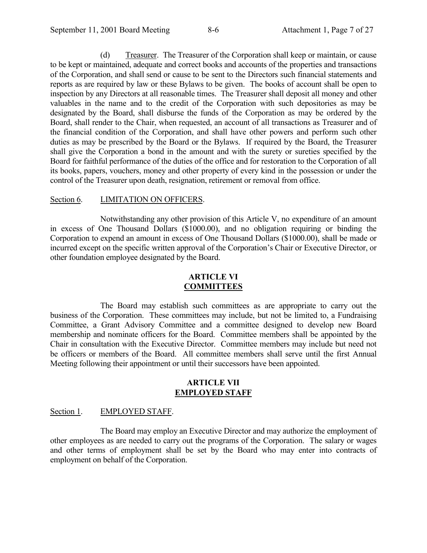(d) Treasurer. The Treasurer of the Corporation shall keep or maintain, or cause to be kept or maintained, adequate and correct books and accounts of the properties and transactions of the Corporation, and shall send or cause to be sent to the Directors such financial statements and reports as are required by law or these Bylaws to be given. The books of account shall be open to inspection by any Directors at all reasonable times. The Treasurer shall deposit all money and other valuables in the name and to the credit of the Corporation with such depositories as may be designated by the Board, shall disburse the funds of the Corporation as may be ordered by the Board, shall render to the Chair, when requested, an account of all transactions as Treasurer and of the financial condition of the Corporation, and shall have other powers and perform such other duties as may be prescribed by the Board or the Bylaws. If required by the Board, the Treasurer shall give the Corporation a bond in the amount and with the surety or sureties specified by the Board for faithful performance of the duties of the office and for restoration to the Corporation of all its books, papers, vouchers, money and other property of every kind in the possession or under the control of the Treasurer upon death, resignation, retirement or removal from office.

#### Section 6. LIMITATION ON OFFICERS.

Notwithstanding any other provision of this Article V, no expenditure of an amount in excess of One Thousand Dollars (\$1000.00), and no obligation requiring or binding the Corporation to expend an amount in excess of One Thousand Dollars (\$1000.00), shall be made or incurred except on the specific written approval of the Corporation's Chair or Executive Director, or other foundation employee designated by the Board.

## **ARTICLE VI COMMITTEES**

The Board may establish such committees as are appropriate to carry out the business of the Corporation. These committees may include, but not be limited to, a Fundraising Committee, a Grant Advisory Committee and a committee designed to develop new Board membership and nominate officers for the Board. Committee members shall be appointed by the Chair in consultation with the Executive Director. Committee members may include but need not be officers or members of the Board. All committee members shall serve until the first Annual Meeting following their appointment or until their successors have been appointed.

#### **ARTICLE VII EMPLOYED STAFF**

## Section 1. EMPLOYED STAFF.

The Board may employ an Executive Director and may authorize the employment of other employees as are needed to carry out the programs of the Corporation. The salary or wages and other terms of employment shall be set by the Board who may enter into contracts of employment on behalf of the Corporation.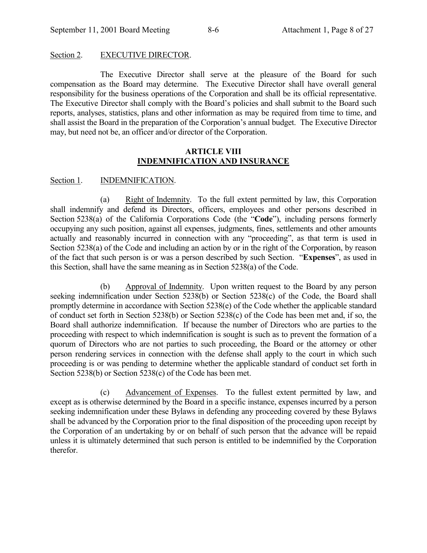#### Section 2. EXECUTIVE DIRECTOR.

The Executive Director shall serve at the pleasure of the Board for such compensation as the Board may determine. The Executive Director shall have overall general responsibility for the business operations of the Corporation and shall be its official representative. The Executive Director shall comply with the Board's policies and shall submit to the Board such reports, analyses, statistics, plans and other information as may be required from time to time, and shall assist the Board in the preparation of the Corporation's annual budget. The Executive Director may, but need not be, an officer and/or director of the Corporation.

#### **ARTICLE VIII INDEMNIFICATION AND INSURANCE**

#### Section 1. **INDEMNIFICATION.**

(a) Right of Indemnity. To the full extent permitted by law, this Corporation shall indemnify and defend its Directors, officers, employees and other persons described in Section 5238(a) of the California Corporations Code (the "Code"), including persons formerly occupying any such position, against all expenses, judgments, fines, settlements and other amounts actually and reasonably incurred in connection with any "proceeding", as that term is used in Section 5238(a) of the Code and including an action by or in the right of the Corporation, by reason of the fact that such person is or was a person described by such Section. *Expenses*, as used in this Section, shall have the same meaning as in Section 5238(a) of the Code.

(b) Approval of Indemnity. Upon written request to the Board by any person seeking indemnification under Section 5238(b) or Section 5238(c) of the Code, the Board shall promptly determine in accordance with Section 5238(e) of the Code whether the applicable standard of conduct set forth in Section 5238(b) or Section 5238(c) of the Code has been met and, if so, the Board shall authorize indemnification. If because the number of Directors who are parties to the proceeding with respect to which indemnification is sought is such as to prevent the formation of a quorum of Directors who are not parties to such proceeding, the Board or the attorney or other person rendering services in connection with the defense shall apply to the court in which such proceeding is or was pending to determine whether the applicable standard of conduct set forth in Section 5238(b) or Section 5238(c) of the Code has been met.

(c) Advancement of Expenses. To the fullest extent permitted by law, and except as is otherwise determined by the Board in a specific instance, expenses incurred by a person seeking indemnification under these Bylaws in defending any proceeding covered by these Bylaws shall be advanced by the Corporation prior to the final disposition of the proceeding upon receipt by the Corporation of an undertaking by or on behalf of such person that the advance will be repaid unless it is ultimately determined that such person is entitled to be indemnified by the Corporation therefor.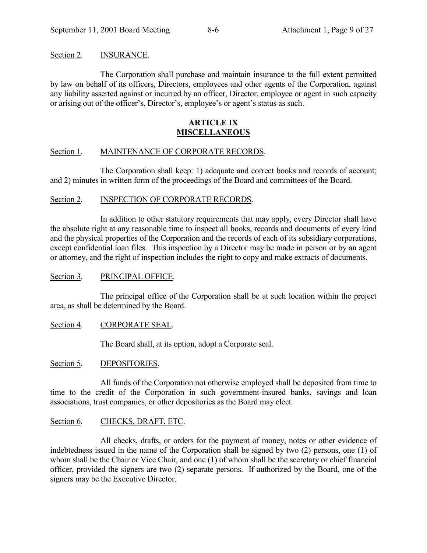#### Section 2. **INSURANCE.**

The Corporation shall purchase and maintain insurance to the full extent permitted by law on behalf of its officers, Directors, employees and other agents of the Corporation, against any liability asserted against or incurred by an officer, Director, employee or agent in such capacity or arising out of the officer's, Director's, employee's or agent's status as such.

## **ARTICLE IX MISCELLANEOUS**

## Section 1. MAINTENANCE OF CORPORATE RECORDS.

The Corporation shall keep: 1) adequate and correct books and records of account; and 2) minutes in written form of the proceedings of the Board and committees of the Board.

## Section 2. INSPECTION OF CORPORATE RECORDS.

In addition to other statutory requirements that may apply, every Director shall have the absolute right at any reasonable time to inspect all books, records and documents of every kind and the physical properties of the Corporation and the records of each of its subsidiary corporations, except confidential loan files. This inspection by a Director may be made in person or by an agent or attorney, and the right of inspection includes the right to copy and make extracts of documents.

#### Section 3. PRINCIPAL OFFICE.

The principal office of the Corporation shall be at such location within the project area, as shall be determined by the Board.

## Section 4. CORPORATE SEAL.

The Board shall, at its option, adopt a Corporate seal.

#### Section 5. DEPOSITORIES.

All funds of the Corporation not otherwise employed shall be deposited from time to time to the credit of the Corporation in such government-insured banks, savings and loan associations, trust companies, or other depositories as the Board may elect.

## Section 6. CHECKS, DRAFT, ETC.

All checks, drafts, or orders for the payment of money, notes or other evidence of indebtedness issued in the name of the Corporation shall be signed by two (2) persons, one (1) of whom shall be the Chair or Vice Chair, and one (1) of whom shall be the secretary or chief financial officer, provided the signers are two (2) separate persons. If authorized by the Board, one of the signers may be the Executive Director.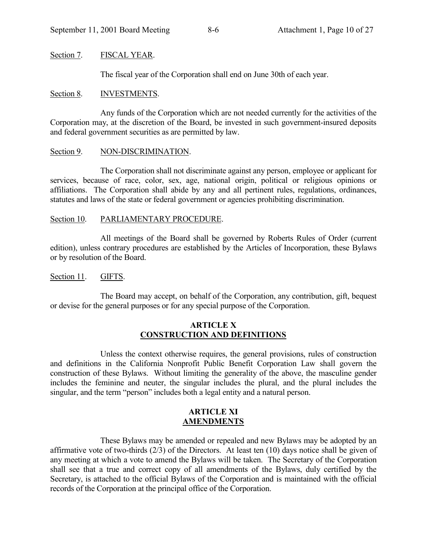## Section 7. FISCAL YEAR.

The fiscal year of the Corporation shall end on June 30th of each year.

## Section 8. **INVESTMENTS.**

Any funds of the Corporation which are not needed currently for the activities of the Corporation may, at the discretion of the Board, be invested in such government-insured deposits and federal government securities as are permitted by law.

## Section 9. NON-DISCRIMINATION.

The Corporation shall not discriminate against any person, employee or applicant for services, because of race, color, sex, age, national origin, political or religious opinions or affiliations. The Corporation shall abide by any and all pertinent rules, regulations, ordinances, statutes and laws of the state or federal government or agencies prohibiting discrimination.

## Section 10. PARLIAMENTARY PROCEDURE.

All meetings of the Board shall be governed by Roberts Rules of Order (current edition), unless contrary procedures are established by the Articles of Incorporation, these Bylaws or by resolution of the Board.

## Section 11. GIFTS.

The Board may accept, on behalf of the Corporation, any contribution, gift, bequest or devise for the general purposes or for any special purpose of the Corporation.

## **ARTICLE X CONSTRUCTION AND DEFINITIONS**

Unless the context otherwise requires, the general provisions, rules of construction and definitions in the California Nonprofit Public Benefit Corporation Law shall govern the construction of these Bylaws. Without limiting the generality of the above, the masculine gender includes the feminine and neuter, the singular includes the plural, and the plural includes the singular, and the term "person" includes both a legal entity and a natural person.

#### **ARTICLE XI AMENDMENTS**

These Bylaws may be amended or repealed and new Bylaws may be adopted by an affirmative vote of two-thirds (2/3) of the Directors. At least ten (10) days notice shall be given of any meeting at which a vote to amend the Bylaws will be taken. The Secretary of the Corporation shall see that a true and correct copy of all amendments of the Bylaws, duly certified by the Secretary, is attached to the official Bylaws of the Corporation and is maintained with the official records of the Corporation at the principal office of the Corporation.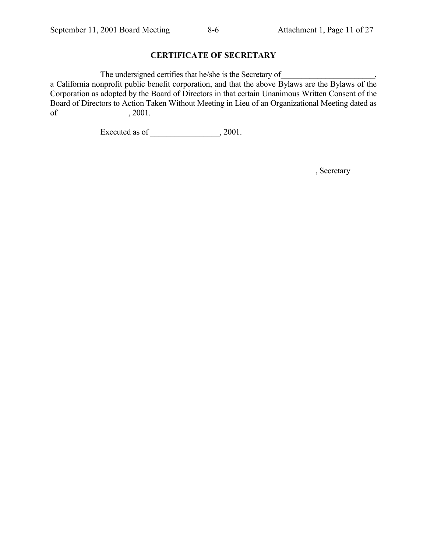# **CERTIFICATE OF SECRETARY**

The undersigned certifies that he/she is the Secretary of

a California nonprofit public benefit corporation, and that the above Bylaws are the Bylaws of the Corporation as adopted by the Board of Directors in that certain Unanimous Written Consent of the Board of Directors to Action Taken Without Meeting in Lieu of an Organizational Meeting dated as of \_\_\_\_\_\_\_\_\_\_\_\_\_\_\_\_\_, 2001.

l

Executed as of \_\_\_\_\_\_\_\_\_\_\_\_\_\_\_\_\_, 2001.

\_\_\_\_\_\_\_\_\_\_\_\_\_\_\_\_\_\_\_\_\_\_, Secretary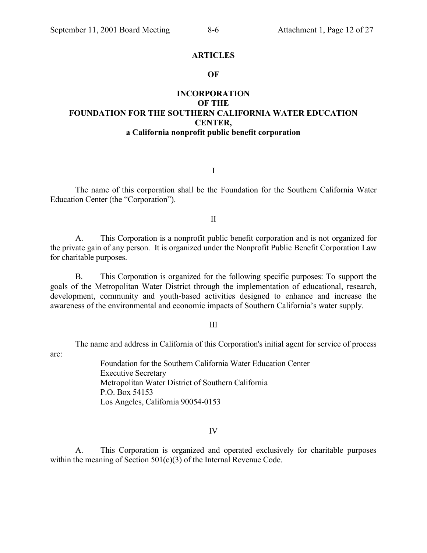#### **ARTICLES**

#### **OF**

# **INCORPORATION OF THE FOUNDATION FOR THE SOUTHERN CALIFORNIA WATER EDUCATION CENTER, a California nonprofit public benefit corporation**

I

The name of this corporation shall be the Foundation for the Southern California Water Education Center (the "Corporation").

#### II

A. This Corporation is a nonprofit public benefit corporation and is not organized for the private gain of any person. It is organized under the Nonprofit Public Benefit Corporation Law for charitable purposes.

B. This Corporation is organized for the following specific purposes: To support the goals of the Metropolitan Water District through the implementation of educational, research, development, community and youth-based activities designed to enhance and increase the awareness of the environmental and economic impacts of Southern California's water supply.

#### III

The name and address in California of this Corporation's initial agent for service of process

are:

Foundation for the Southern California Water Education Center Executive Secretary Metropolitan Water District of Southern California P.O. Box 54153 Los Angeles, California 90054-0153

#### IV

A. This Corporation is organized and operated exclusively for charitable purposes within the meaning of Section 501(c)(3) of the Internal Revenue Code.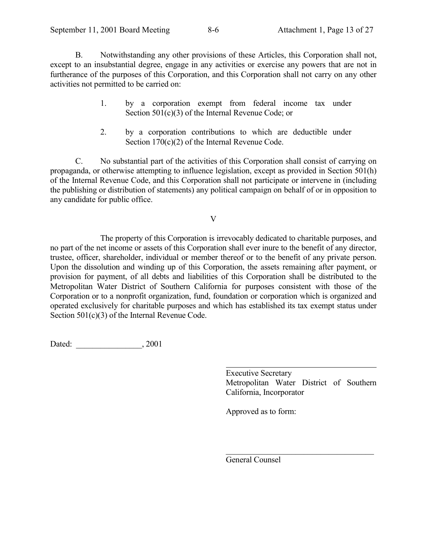B. Notwithstanding any other provisions of these Articles, this Corporation shall not, except to an insubstantial degree, engage in any activities or exercise any powers that are not in furtherance of the purposes of this Corporation, and this Corporation shall not carry on any other activities not permitted to be carried on:

- 1. by a corporation exempt from federal income tax under Section 501(c)(3) of the Internal Revenue Code; or
- 2. by a corporation contributions to which are deductible under Section 170(c)(2) of the Internal Revenue Code.

C. No substantial part of the activities of this Corporation shall consist of carrying on propaganda, or otherwise attempting to influence legislation, except as provided in Section 501(h) of the Internal Revenue Code, and this Corporation shall not participate or intervene in (including the publishing or distribution of statements) any political campaign on behalf of or in opposition to any candidate for public office.

V

The property of this Corporation is irrevocably dedicated to charitable purposes, and no part of the net income or assets of this Corporation shall ever inure to the benefit of any director, trustee, officer, shareholder, individual or member thereof or to the benefit of any private person. Upon the dissolution and winding up of this Corporation, the assets remaining after payment, or provision for payment, of all debts and liabilities of this Corporation shall be distributed to the Metropolitan Water District of Southern California for purposes consistent with those of the Corporation or to a nonprofit organization, fund, foundation or corporation which is organized and operated exclusively for charitable purposes and which has established its tax exempt status under Section 501(c)(3) of the Internal Revenue Code.

l

Dated:  $2001$ 

Executive Secretary Metropolitan Water District of Southern California, Incorporator

 $\mathcal{L}_\text{max}$ 

Approved as to form:

General Counsel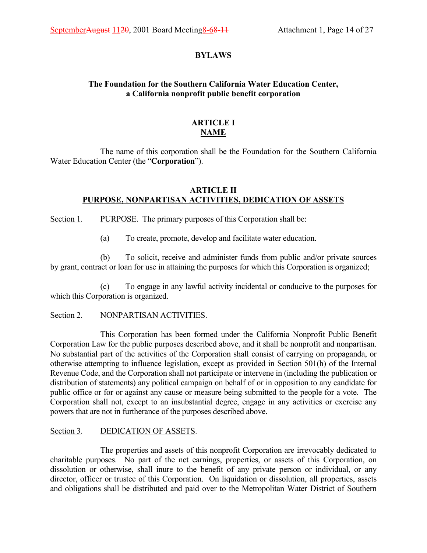## **BYLAWS**

# **The Foundation for the Southern California Water Education Center, a California nonprofit public benefit corporation**

# **ARTICLE I NAME**

The name of this corporation shall be the Foundation for the Southern California Water Education Center (the "Corporation").

# **ARTICLE II PURPOSE, NONPARTISAN ACTIVITIES, DEDICATION OF ASSETS**

Section 1. PURPOSE. The primary purposes of this Corporation shall be:

(a) To create, promote, develop and facilitate water education.

(b) To solicit, receive and administer funds from public and/or private sources by grant, contract or loan for use in attaining the purposes for which this Corporation is organized;

(c) To engage in any lawful activity incidental or conducive to the purposes for which this Corporation is organized.

## Section 2. NONPARTISAN ACTIVITIES.

This Corporation has been formed under the California Nonprofit Public Benefit Corporation Law for the public purposes described above, and it shall be nonprofit and nonpartisan. No substantial part of the activities of the Corporation shall consist of carrying on propaganda, or otherwise attempting to influence legislation, except as provided in Section 501(h) of the Internal Revenue Code, and the Corporation shall not participate or intervene in (including the publication or distribution of statements) any political campaign on behalf of or in opposition to any candidate for public office or for or against any cause or measure being submitted to the people for a vote. The Corporation shall not, except to an insubstantial degree, engage in any activities or exercise any powers that are not in furtherance of the purposes described above.

## Section 3. DEDICATION OF ASSETS.

The properties and assets of this nonprofit Corporation are irrevocably dedicated to charitable purposes. No part of the net earnings, properties, or assets of this Corporation, on dissolution or otherwise, shall inure to the benefit of any private person or individual, or any director, officer or trustee of this Corporation. On liquidation or dissolution, all properties, assets and obligations shall be distributed and paid over to the Metropolitan Water District of Southern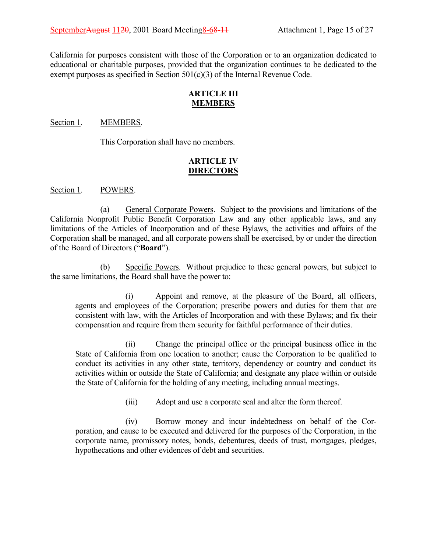California for purposes consistent with those of the Corporation or to an organization dedicated to educational or charitable purposes, provided that the organization continues to be dedicated to the exempt purposes as specified in Section 501(c)(3) of the Internal Revenue Code.

## **ARTICLE III MEMBERS**

#### Section 1. MEMBERS.

This Corporation shall have no members.

# **ARTICLE IV DIRECTORS**

Section 1. POWERS.

(a) General Corporate Powers. Subject to the provisions and limitations of the California Nonprofit Public Benefit Corporation Law and any other applicable laws, and any limitations of the Articles of Incorporation and of these Bylaws, the activities and affairs of the Corporation shall be managed, and all corporate powers shall be exercised, by or under the direction of the Board of Directors ("**Board**").

(b) Specific Powers. Without prejudice to these general powers, but subject to the same limitations, the Board shall have the power to:

(i) Appoint and remove, at the pleasure of the Board, all officers, agents and employees of the Corporation; prescribe powers and duties for them that are consistent with law, with the Articles of Incorporation and with these Bylaws; and fix their compensation and require from them security for faithful performance of their duties.

(ii) Change the principal office or the principal business office in the State of California from one location to another; cause the Corporation to be qualified to conduct its activities in any other state, territory, dependency or country and conduct its activities within or outside the State of California; and designate any place within or outside the State of California for the holding of any meeting, including annual meetings.

(iii) Adopt and use a corporate seal and alter the form thereof.

(iv) Borrow money and incur indebtedness on behalf of the Corporation, and cause to be executed and delivered for the purposes of the Corporation, in the corporate name, promissory notes, bonds, debentures, deeds of trust, mortgages, pledges, hypothecations and other evidences of debt and securities.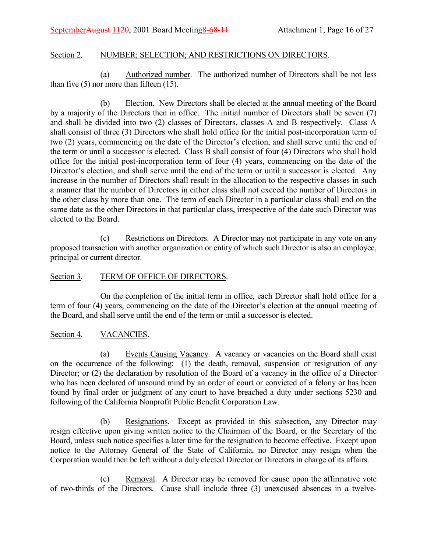## Section 2. NUMBER; SELECTION; AND RESTRICTIONS ON DIRECTORS.

(a) Authorized number. The authorized number of Directors shall be not less than five  $(5)$  nor more than fifteen  $(15)$ .

(b) Election. New Directors shall be elected at the annual meeting of the Board by a majority of the Directors then in office. The initial number of Directors shall be seven (7) and shall be divided into two (2) classes of Directors, classes A and B respectively. Class A shall consist of three (3) Directors who shall hold office for the initial post-incorporation term of two (2) years, commencing on the date of the Director's election, and shall serve until the end of the term or until a successor is elected. Class B shall consist of four (4) Directors who shall hold office for the initial post-incorporation term of four (4) years, commencing on the date of the Director's election, and shall serve until the end of the term or until a successor is elected. Any increase in the number of Directors shall result in the allocation to the respective classes in such a manner that the number of Directors in either class shall not exceed the number of Directors in the other class by more than one. The term of each Director in a particular class shall end on the same date as the other Directors in that particular class, irrespective of the date such Director was elected to the Board.

(c) Restrictions on Directors. A Director may not participate in any vote on any proposed transaction with another organization or entity of which such Director is also an employee, principal or current director.

## Section 3. TERM OF OFFICE OF DIRECTORS.

On the completion of the initial term in office, each Director shall hold office for a term of four (4) years, commencing on the date of the Director's election at the annual meeting of the Board, and shall serve until the end of the term or until a successor is elected.

## Section 4. VACANCIES.

(a) Events Causing Vacancy. A vacancy or vacancies on the Board shall exist on the occurrence of the following: (1) the death, removal, suspension or resignation of any Director; or (2) the declaration by resolution of the Board of a vacancy in the office of a Director who has been declared of unsound mind by an order of court or convicted of a felony or has been found by final order or judgment of any court to have breached a duty under sections 5230 and following of the California Nonprofit Public Benefit Corporation Law.

(b) Resignations. Except as provided in this subsection, any Director may resign effective upon giving written notice to the Chairman of the Board, or the Secretary of the Board, unless such notice specifies a later time for the resignation to become effective. Except upon notice to the Attorney General of the State of California, no Director may resign when the Corporation would then be left without a duly elected Director or Directors in charge of its affairs.

(c) Removal. A Director may be removed for cause upon the affirmative vote of two-thirds of the Directors. Cause shall include three (3) unexcused absences in a twelve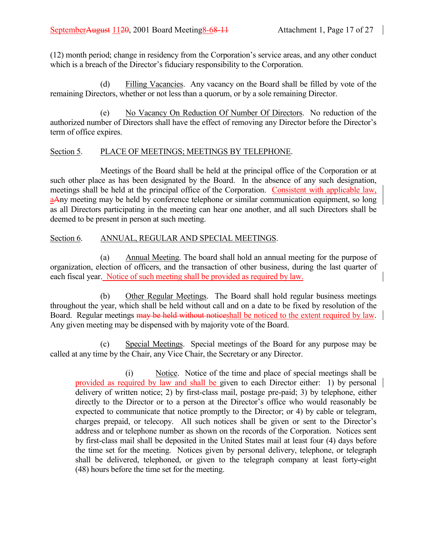(12) month period; change in residency from the Corporationís service areas, and any other conduct which is a breach of the Director's fiduciary responsibility to the Corporation.

(d) Filling Vacancies. Any vacancy on the Board shall be filled by vote of the remaining Directors, whether or not less than a quorum, or by a sole remaining Director.

(e) No Vacancy On Reduction Of Number Of Directors. No reduction of the authorized number of Directors shall have the effect of removing any Director before the Director's term of office expires.

# Section 5. PLACE OF MEETINGS; MEETINGS BY TELEPHONE.

Meetings of the Board shall be held at the principal office of the Corporation or at such other place as has been designated by the Board. In the absence of any such designation, meetings shall be held at the principal office of the Corporation. Consistent with applicable law, aAny meeting may be held by conference telephone or similar communication equipment, so long as all Directors participating in the meeting can hear one another, and all such Directors shall be deemed to be present in person at such meeting.

# Section 6. ANNUAL, REGULAR AND SPECIAL MEETINGS.

(a) Annual Meeting. The board shall hold an annual meeting for the purpose of organization, election of officers, and the transaction of other business, during the last quarter of each fiscal year. Notice of such meeting shall be provided as required by law.

(b) Other Regular Meetings. The Board shall hold regular business meetings throughout the year, which shall be held without call and on a date to be fixed by resolution of the Board. Regular meetings may be held without notices hall be noticed to the extent required by law. Any given meeting may be dispensed with by majority vote of the Board.

(c) Special Meetings. Special meetings of the Board for any purpose may be called at any time by the Chair, any Vice Chair, the Secretary or any Director.

(i) Notice. Notice of the time and place of special meetings shall be provided as required by law and shall be given to each Director either: 1) by personal delivery of written notice; 2) by first-class mail, postage pre-paid; 3) by telephone, either directly to the Director or to a person at the Director's office who would reasonably be expected to communicate that notice promptly to the Director; or 4) by cable or telegram, charges prepaid, or telecopy. All such notices shall be given or sent to the Director's address and or telephone number as shown on the records of the Corporation. Notices sent by first-class mail shall be deposited in the United States mail at least four (4) days before the time set for the meeting. Notices given by personal delivery, telephone, or telegraph shall be delivered, telephoned, or given to the telegraph company at least forty-eight (48) hours before the time set for the meeting.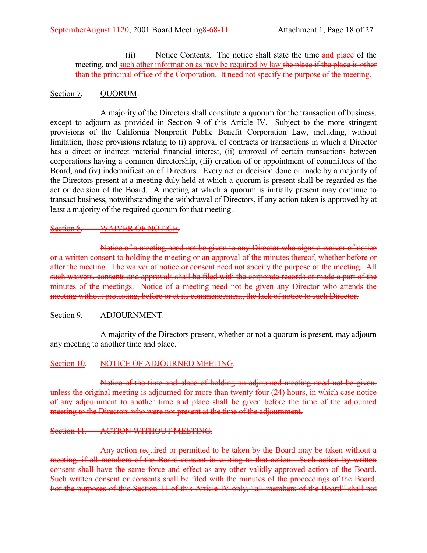(ii) Notice Contents. The notice shall state the time and place of the meeting, and such other information as may be required by law.the place if the place is other than the principal office of the Corporation. It need not specify the purpose of the meeting.

## Section 7. QUORUM.

A majority of the Directors shall constitute a quorum for the transaction of business, except to adjourn as provided in Section 9 of this Article IV. Subject to the more stringent provisions of the California Nonprofit Public Benefit Corporation Law, including, without limitation, those provisions relating to (i) approval of contracts or transactions in which a Director has a direct or indirect material financial interest, (ii) approval of certain transactions between corporations having a common directorship, (iii) creation of or appointment of committees of the Board, and (iv) indemnification of Directors. Every act or decision done or made by a majority of the Directors present at a meeting duly held at which a quorum is present shall be regarded as the act or decision of the Board. A meeting at which a quorum is initially present may continue to transact business, notwithstanding the withdrawal of Directors, if any action taken is approved by at least a majority of the required quorum for that meeting.

## Section 8. WAIVER OF NOTICE.

Notice of a meeting need not be given to any Director who signs a waiver of notice or a written consent to holding the meeting or an approval of the minutes thereof, whether before or after the meeting. The waiver of notice or consent need not specify the purpose of the meeting. All such waivers, consents and approvals shall be filed with the corporate records or made a part of the minutes of the meetings. Notice of a meeting need not be given any Director who attends the meeting without protesting, before or at its commencement, the lack of notice to such Director.

# Section 9. ADJOURNMENT.

A majority of the Directors present, whether or not a quorum is present, may adjourn any meeting to another time and place.

# Section 10. NOTICE OF ADJOURNED MEETING.

Notice of the time and place of holding an adjourned meeting need not be given, unless the original meeting is adjourned for more than twenty-four (24) hours, in which case notice of any adjournment to another time and place shall be given before the time of the adjourned meeting to the Directors who were not present at the time of the adjournment.

# Section 11. ACTION WITHOUT MEETING.

Any action required or permitted to be taken by the Board may be taken without a meeting, if all members of the Board consent in writing to that action. Such action by written consent shall have the same force and effect as any other validly approved action of the Board. Such written consent or consents shall be filed with the minutes of the proceedings of the Board. For the purposes of this Section 11 of this Article IV only, "all members of the Board" shall not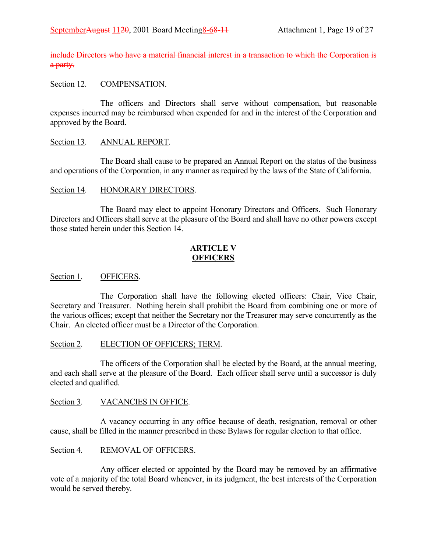include Directors who have a material financial interest in a transaction to which the Corporation is a party.

## Section 12. COMPENSATION.

The officers and Directors shall serve without compensation, but reasonable expenses incurred may be reimbursed when expended for and in the interest of the Corporation and approved by the Board.

## Section 13. ANNUAL REPORT.

The Board shall cause to be prepared an Annual Report on the status of the business and operations of the Corporation, in any manner as required by the laws of the State of California.

## Section 14. HONORARY DIRECTORS.

The Board may elect to appoint Honorary Directors and Officers. Such Honorary Directors and Officers shall serve at the pleasure of the Board and shall have no other powers except those stated herein under this Section 14.

## **ARTICLE V OFFICERS**

#### Section 1. **OFFICERS.**

The Corporation shall have the following elected officers: Chair, Vice Chair, Secretary and Treasurer. Nothing herein shall prohibit the Board from combining one or more of the various offices; except that neither the Secretary nor the Treasurer may serve concurrently as the Chair. An elected officer must be a Director of the Corporation.

## Section 2. ELECTION OF OFFICERS; TERM.

The officers of the Corporation shall be elected by the Board, at the annual meeting, and each shall serve at the pleasure of the Board. Each officer shall serve until a successor is duly elected and qualified.

## Section 3. VACANCIES IN OFFICE.

A vacancy occurring in any office because of death, resignation, removal or other cause, shall be filled in the manner prescribed in these Bylaws for regular election to that office.

## Section 4. REMOVAL OF OFFICERS.

Any officer elected or appointed by the Board may be removed by an affirmative vote of a majority of the total Board whenever, in its judgment, the best interests of the Corporation would be served thereby.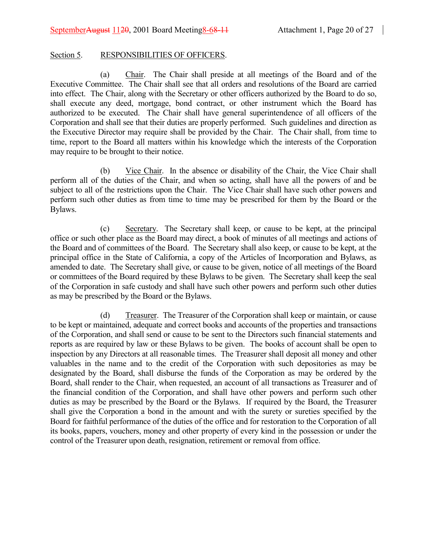## Section 5. RESPONSIBILITIES OF OFFICERS.

(a) Chair. The Chair shall preside at all meetings of the Board and of the Executive Committee. The Chair shall see that all orders and resolutions of the Board are carried into effect. The Chair, along with the Secretary or other officers authorized by the Board to do so, shall execute any deed, mortgage, bond contract, or other instrument which the Board has authorized to be executed. The Chair shall have general superintendence of all officers of the Corporation and shall see that their duties are properly performed. Such guidelines and direction as the Executive Director may require shall be provided by the Chair. The Chair shall, from time to time, report to the Board all matters within his knowledge which the interests of the Corporation may require to be brought to their notice.

(b) Vice Chair. In the absence or disability of the Chair, the Vice Chair shall perform all of the duties of the Chair, and when so acting, shall have all the powers of and be subject to all of the restrictions upon the Chair. The Vice Chair shall have such other powers and perform such other duties as from time to time may be prescribed for them by the Board or the Bylaws.

(c) Secretary. The Secretary shall keep, or cause to be kept, at the principal office or such other place as the Board may direct, a book of minutes of all meetings and actions of the Board and of committees of the Board. The Secretary shall also keep, or cause to be kept, at the principal office in the State of California, a copy of the Articles of Incorporation and Bylaws, as amended to date. The Secretary shall give, or cause to be given, notice of all meetings of the Board or committees of the Board required by these Bylaws to be given. The Secretary shall keep the seal of the Corporation in safe custody and shall have such other powers and perform such other duties as may be prescribed by the Board or the Bylaws.

(d) Treasurer. The Treasurer of the Corporation shall keep or maintain, or cause to be kept or maintained, adequate and correct books and accounts of the properties and transactions of the Corporation, and shall send or cause to be sent to the Directors such financial statements and reports as are required by law or these Bylaws to be given. The books of account shall be open to inspection by any Directors at all reasonable times. The Treasurer shall deposit all money and other valuables in the name and to the credit of the Corporation with such depositories as may be designated by the Board, shall disburse the funds of the Corporation as may be ordered by the Board, shall render to the Chair, when requested, an account of all transactions as Treasurer and of the financial condition of the Corporation, and shall have other powers and perform such other duties as may be prescribed by the Board or the Bylaws. If required by the Board, the Treasurer shall give the Corporation a bond in the amount and with the surety or sureties specified by the Board for faithful performance of the duties of the office and for restoration to the Corporation of all its books, papers, vouchers, money and other property of every kind in the possession or under the control of the Treasurer upon death, resignation, retirement or removal from office.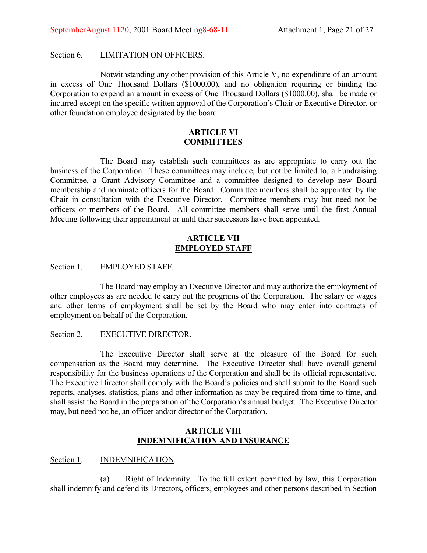#### Section 6. LIMITATION ON OFFICERS.

Notwithstanding any other provision of this Article V, no expenditure of an amount in excess of One Thousand Dollars (\$1000.00), and no obligation requiring or binding the Corporation to expend an amount in excess of One Thousand Dollars (\$1000.00), shall be made or incurred except on the specific written approval of the Corporation's Chair or Executive Director, or other foundation employee designated by the board.

#### **ARTICLE VI COMMITTEES**

The Board may establish such committees as are appropriate to carry out the business of the Corporation. These committees may include, but not be limited to, a Fundraising Committee, a Grant Advisory Committee and a committee designed to develop new Board membership and nominate officers for the Board. Committee members shall be appointed by the Chair in consultation with the Executive Director. Committee members may but need not be officers or members of the Board. All committee members shall serve until the first Annual Meeting following their appointment or until their successors have been appointed.

## **ARTICLE VII EMPLOYED STAFF**

## Section 1. EMPLOYED STAFF.

The Board may employ an Executive Director and may authorize the employment of other employees as are needed to carry out the programs of the Corporation. The salary or wages and other terms of employment shall be set by the Board who may enter into contracts of employment on behalf of the Corporation.

#### Section 2. EXECUTIVE DIRECTOR.

The Executive Director shall serve at the pleasure of the Board for such compensation as the Board may determine. The Executive Director shall have overall general responsibility for the business operations of the Corporation and shall be its official representative. The Executive Director shall comply with the Board's policies and shall submit to the Board such reports, analyses, statistics, plans and other information as may be required from time to time, and shall assist the Board in the preparation of the Corporation's annual budget. The Executive Director may, but need not be, an officer and/or director of the Corporation.

## **ARTICLE VIII INDEMNIFICATION AND INSURANCE**

#### Section 1. INDEMNIFICATION.

(a) Right of Indemnity. To the full extent permitted by law, this Corporation shall indemnify and defend its Directors, officers, employees and other persons described in Section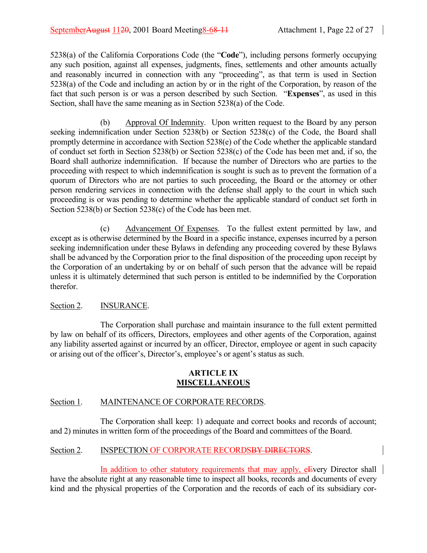5238(a) of the California Corporations Code (the "**Code**"), including persons formerly occupying any such position, against all expenses, judgments, fines, settlements and other amounts actually and reasonably incurred in connection with any "proceeding", as that term is used in Section 5238(a) of the Code and including an action by or in the right of the Corporation, by reason of the fact that such person is or was a person described by such Section. *Expenses*<sup>*n*</sup>, as used in this Section, shall have the same meaning as in Section 5238(a) of the Code.

(b) Approval Of Indemnity. Upon written request to the Board by any person seeking indemnification under Section 5238(b) or Section 5238(c) of the Code, the Board shall promptly determine in accordance with Section 5238(e) of the Code whether the applicable standard of conduct set forth in Section 5238(b) or Section 5238(c) of the Code has been met and, if so, the Board shall authorize indemnification. If because the number of Directors who are parties to the proceeding with respect to which indemnification is sought is such as to prevent the formation of a quorum of Directors who are not parties to such proceeding, the Board or the attorney or other person rendering services in connection with the defense shall apply to the court in which such proceeding is or was pending to determine whether the applicable standard of conduct set forth in Section 5238(b) or Section 5238(c) of the Code has been met.

(c) Advancement Of Expenses. To the fullest extent permitted by law, and except as is otherwise determined by the Board in a specific instance, expenses incurred by a person seeking indemnification under these Bylaws in defending any proceeding covered by these Bylaws shall be advanced by the Corporation prior to the final disposition of the proceeding upon receipt by the Corporation of an undertaking by or on behalf of such person that the advance will be repaid unless it is ultimately determined that such person is entitled to be indemnified by the Corporation therefor.

# Section 2. **INSURANCE.**

The Corporation shall purchase and maintain insurance to the full extent permitted by law on behalf of its officers, Directors, employees and other agents of the Corporation, against any liability asserted against or incurred by an officer, Director, employee or agent in such capacity or arising out of the officer's, Director's, employee's or agent's status as such.

## **ARTICLE IX MISCELLANEOUS**

# Section 1. MAINTENANCE OF CORPORATE RECORDS.

The Corporation shall keep: 1) adequate and correct books and records of account; and 2) minutes in written form of the proceedings of the Board and committees of the Board.

# Section 2. INSPECTION OF CORPORATE RECORDS<del>BY DIRECTORS</del>.

In addition to other statutory requirements that may apply, e<del>E</del>very Director shall have the absolute right at any reasonable time to inspect all books, records and documents of every kind and the physical properties of the Corporation and the records of each of its subsidiary cor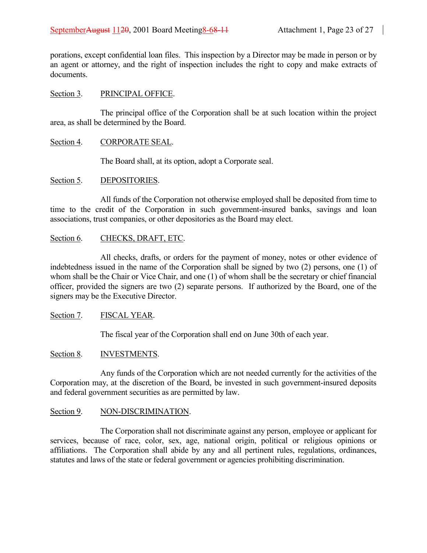porations, except confidential loan files. This inspection by a Director may be made in person or by an agent or attorney, and the right of inspection includes the right to copy and make extracts of documents.

## Section 3. PRINCIPAL OFFICE.

The principal office of the Corporation shall be at such location within the project area, as shall be determined by the Board.

## Section 4. CORPORATE SEAL.

The Board shall, at its option, adopt a Corporate seal.

## Section 5. DEPOSITORIES.

All funds of the Corporation not otherwise employed shall be deposited from time to time to the credit of the Corporation in such government-insured banks, savings and loan associations, trust companies, or other depositories as the Board may elect.

# Section 6. CHECKS, DRAFT, ETC.

All checks, drafts, or orders for the payment of money, notes or other evidence of indebtedness issued in the name of the Corporation shall be signed by two (2) persons, one (1) of whom shall be the Chair or Vice Chair, and one (1) of whom shall be the secretary or chief financial officer, provided the signers are two (2) separate persons. If authorized by the Board, one of the signers may be the Executive Director.

# Section 7. FISCAL YEAR.

The fiscal year of the Corporation shall end on June 30th of each year.

## Section 8. INVESTMENTS.

Any funds of the Corporation which are not needed currently for the activities of the Corporation may, at the discretion of the Board, be invested in such government-insured deposits and federal government securities as are permitted by law.

## Section 9. NON-DISCRIMINATION.

The Corporation shall not discriminate against any person, employee or applicant for services, because of race, color, sex, age, national origin, political or religious opinions or affiliations. The Corporation shall abide by any and all pertinent rules, regulations, ordinances, statutes and laws of the state or federal government or agencies prohibiting discrimination.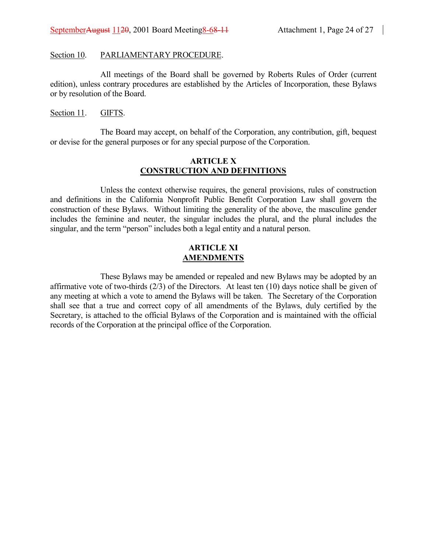#### Section 10. PARLIAMENTARY PROCEDURE.

All meetings of the Board shall be governed by Roberts Rules of Order (current edition), unless contrary procedures are established by the Articles of Incorporation, these Bylaws or by resolution of the Board.

#### Section 11. GIFTS.

The Board may accept, on behalf of the Corporation, any contribution, gift, bequest or devise for the general purposes or for any special purpose of the Corporation.

## **ARTICLE X CONSTRUCTION AND DEFINITIONS**

Unless the context otherwise requires, the general provisions, rules of construction and definitions in the California Nonprofit Public Benefit Corporation Law shall govern the construction of these Bylaws. Without limiting the generality of the above, the masculine gender includes the feminine and neuter, the singular includes the plural, and the plural includes the singular, and the term "person" includes both a legal entity and a natural person.

## **ARTICLE XI AMENDMENTS**

These Bylaws may be amended or repealed and new Bylaws may be adopted by an affirmative vote of two-thirds (2/3) of the Directors. At least ten (10) days notice shall be given of any meeting at which a vote to amend the Bylaws will be taken. The Secretary of the Corporation shall see that a true and correct copy of all amendments of the Bylaws, duly certified by the Secretary, is attached to the official Bylaws of the Corporation and is maintained with the official records of the Corporation at the principal office of the Corporation.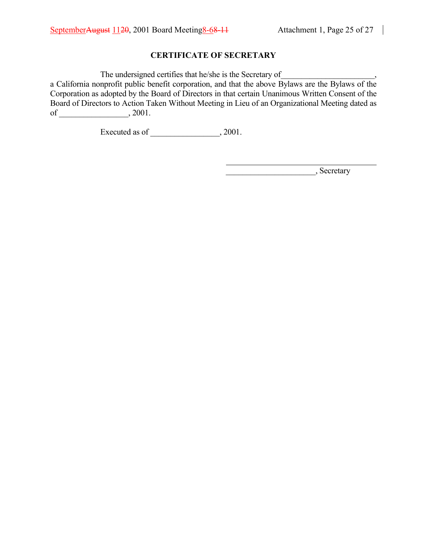# **CERTIFICATE OF SECRETARY**

The undersigned certifies that he/she is the Secretary of

a California nonprofit public benefit corporation, and that the above Bylaws are the Bylaws of the Corporation as adopted by the Board of Directors in that certain Unanimous Written Consent of the Board of Directors to Action Taken Without Meeting in Lieu of an Organizational Meeting dated as of \_\_\_\_\_\_\_\_\_\_\_\_\_\_\_\_\_\_\_\_\_, 2001.

l

Executed as of \_\_\_\_\_\_\_\_\_\_\_\_\_\_\_\_, 2001.

\_\_\_\_\_\_\_\_\_\_\_\_\_\_\_\_\_\_\_\_\_\_, Secretary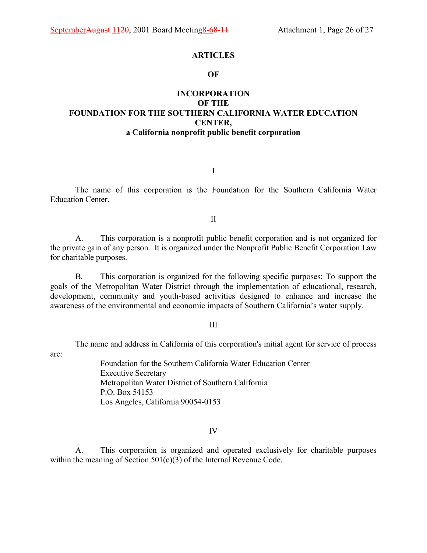#### **ARTICLES**

#### **OF**

# **INCORPORATION OF THE FOUNDATION FOR THE SOUTHERN CALIFORNIA WATER EDUCATION CENTER, a California nonprofit public benefit corporation**

I

The name of this corporation is the Foundation for the Southern California Water Education Center.

II

A. This corporation is a nonprofit public benefit corporation and is not organized for the private gain of any person. It is organized under the Nonprofit Public Benefit Corporation Law for charitable purposes.

B. This corporation is organized for the following specific purposes: To support the goals of the Metropolitan Water District through the implementation of educational, research, development, community and youth-based activities designed to enhance and increase the awareness of the environmental and economic impacts of Southern California's water supply.

III

The name and address in California of this corporation's initial agent for service of process

are:

Foundation for the Southern California Water Education Center Executive Secretary Metropolitan Water District of Southern California P.O. Box 54153 Los Angeles, California 90054-0153

#### IV

A. This corporation is organized and operated exclusively for charitable purposes within the meaning of Section 501(c)(3) of the Internal Revenue Code.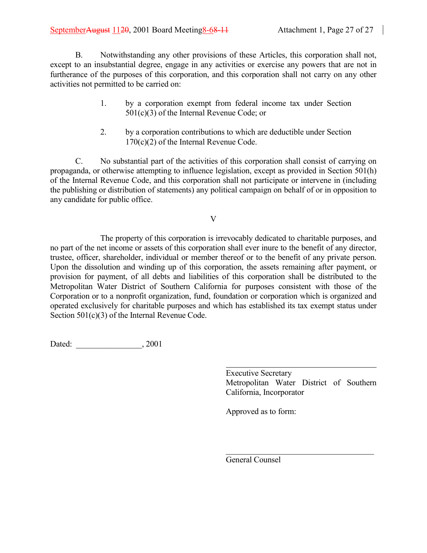B. Notwithstanding any other provisions of these Articles, this corporation shall not, except to an insubstantial degree, engage in any activities or exercise any powers that are not in furtherance of the purposes of this corporation, and this corporation shall not carry on any other activities not permitted to be carried on:

- 1. by a corporation exempt from federal income tax under Section 501(c)(3) of the Internal Revenue Code; or
- 2. by a corporation contributions to which are deductible under Section 170(c)(2) of the Internal Revenue Code.

C. No substantial part of the activities of this corporation shall consist of carrying on propaganda, or otherwise attempting to influence legislation, except as provided in Section 501(h) of the Internal Revenue Code, and this corporation shall not participate or intervene in (including the publishing or distribution of statements) any political campaign on behalf of or in opposition to any candidate for public office.

V

The property of this corporation is irrevocably dedicated to charitable purposes, and no part of the net income or assets of this corporation shall ever inure to the benefit of any director, trustee, officer, shareholder, individual or member thereof or to the benefit of any private person. Upon the dissolution and winding up of this corporation, the assets remaining after payment, or provision for payment, of all debts and liabilities of this corporation shall be distributed to the Metropolitan Water District of Southern California for purposes consistent with those of the Corporation or to a nonprofit organization, fund, foundation or corporation which is organized and operated exclusively for charitable purposes and which has established its tax exempt status under Section 501(c)(3) of the Internal Revenue Code.

l

Dated: \_\_\_\_\_\_\_\_\_\_\_\_\_\_\_\_, 2001

Executive Secretary Metropolitan Water District of Southern California, Incorporator

 $\mathcal{L}_\text{max}$ 

Approved as to form:

General Counsel